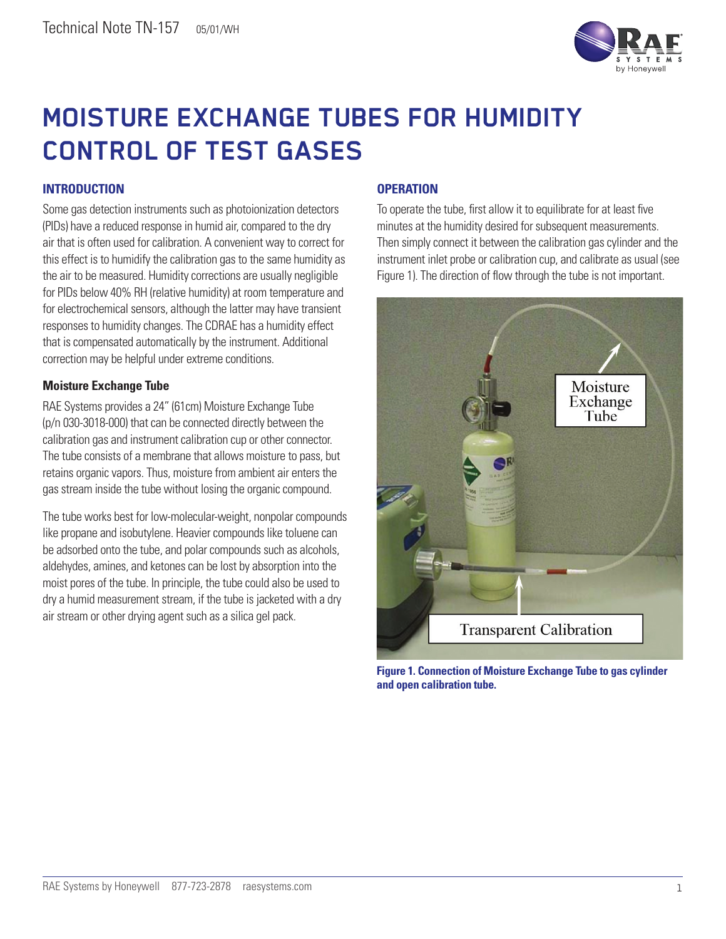

# **MOISTURE EXCHANGE TUBES FOR HUMIDITY CONTROL OF TEST GASES**

## **INTRODUCTION**

Some gas detection instruments such as photoionization detectors (PIDs) have a reduced response in humid air, compared to the dry air that is often used for calibration. A convenient way to correct for this effect is to humidify the calibration gas to the same humidity as the air to be measured. Humidity corrections are usually negligible for PIDs below 40% RH (relative humidity) at room temperature and for electrochemical sensors, although the latter may have transient responses to humidity changes. The CDRAE has a humidity effect that is compensated automatically by the instrument. Additional correction may be helpful under extreme conditions.

#### **Moisture Exchange Tube**

RAE Systems provides a 24" (61cm) Moisture Exchange Tube (p/n 030-3018-000) that can be connected directly between the calibration gas and instrument calibration cup or other connector. The tube consists of a membrane that allows moisture to pass, but retains organic vapors. Thus, moisture from ambient air enters the gas stream inside the tube without losing the organic compound.

The tube works best for low-molecular-weight, nonpolar compounds like propane and isobutylene. Heavier compounds like toluene can be adsorbed onto the tube, and polar compounds such as alcohols, aldehydes, amines, and ketones can be lost by absorption into the moist pores of the tube. In principle, the tube could also be used to dry a humid measurement stream, if the tube is jacketed with a dry air stream or other drying agent such as a silica gel pack.

### **OPERATION**

To operate the tube, first allow it to equilibrate for at least five minutes at the humidity desired for subsequent measurements. Then simply connect it between the calibration gas cylinder and the instrument inlet probe or calibration cup, and calibrate as usual (see Figure 1). The direction of flow through the tube is not important.



**Figure 1. Connection of Moisture Exchange Tube to gas cylinder and open calibration tube.**